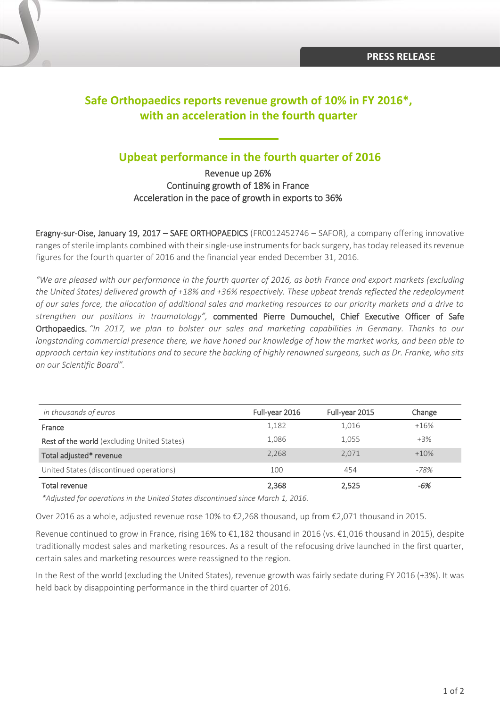# **Safe Orthopaedics reports revenue growth of 10% in FY 2016\*, with an acceleration in the fourth quarter**

# **Upbeat performance in the fourth quarter of 2016**

Revenue up 26% Continuing growth of 18% in France Acceleration in the pace of growth in exports to 36%

Eragny-sur-Oise, January 19, 2017 – SAFE ORTHOPAEDICS (FR0012452746 – SAFOR), a company offering innovative ranges of sterile implants combined with their single-use instruments for back surgery, has today released its revenue figures for the fourth quarter of 2016 and the financial year ended December 31, 2016.

*"We are pleased with our performance in the fourth quarter of 2016, as both France and export markets (excluding the United States) delivered growth of +18% and +36% respectively. These upbeat trends reflected the redeployment of our sales force, the allocation of additional sales and marketing resources to our priority markets and a drive to strengthen our positions in traumatology",* commented Pierre Dumouchel, Chief Executive Officer of Safe Orthopaedics. *"In 2017, we plan to bolster our sales and marketing capabilities in Germany. Thanks to our longstanding commercial presence there, we have honed our knowledge of how the market works, and been able to approach certain key institutions and to secure the backing of highly renowned surgeons, such as Dr. Franke, who sits on our Scientific Board".*

| in thousands of euros                       | Full-year 2016 | Full-year 2015 | Change |
|---------------------------------------------|----------------|----------------|--------|
| France                                      | 1,182          | 1,016          | $+16%$ |
| Rest of the world (excluding United States) | 1,086          | 1,055          | $+3\%$ |
| Total adjusted* revenue                     | 2,268          | 2.071          | $+10%$ |
| United States (discontinued operations)     | 100            | 454            | -78%   |
| <b>Total revenue</b>                        | 2,368          | 2,525          | -6%    |

*\*Adjusted for operations in the United States discontinued since March 1, 2016.* 

Over 2016 as a whole, adjusted revenue rose 10% to €2,268 thousand, up from €2,071 thousand in 2015.

Revenue continued to grow in France, rising 16% to €1,182 thousand in 2016 (vs. €1,016 thousand in 2015), despite traditionally modest sales and marketing resources. As a result of the refocusing drive launched in the first quarter, certain sales and marketing resources were reassigned to the region.

In the Rest of the world (excluding the United States), revenue growth was fairly sedate during FY 2016 (+3%). It was held back by disappointing performance in the third quarter of 2016.